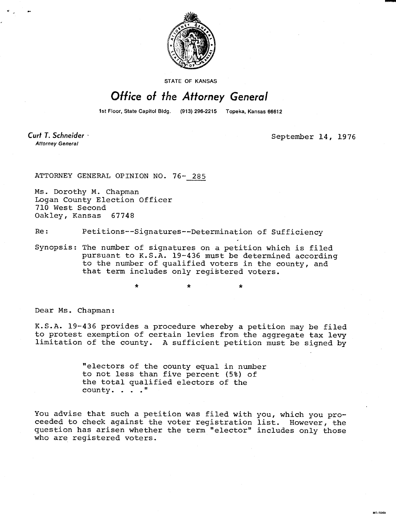

**STATE OF KANSAS** 

## Office of the Attorney General

1st Floor, State Capitol Bldg. (913) 296-2215 Topeka, Kansas 66612

Curt T. Schneider **Attorney General** 

September 14, 1976

ATTORNEY GENERAL OPINION NO. 76- 285

Ms. Dorothy M. Chapman Logan County Election Officer 710 West Second Oakley, Kansas 67748

Re: Petitions--Signatures--Determination of Sufficiency

Synopsis: The number of signatures on a petition which is filed pursuant to K.S.A. 19-436 must be determined according to the number of qualified voters in the county, and that term includes only registered voters.

\*

Dear Ms. Chapman:

K.S.A. 19-436 provides a procedure whereby a petition may be filed to protest exemption of certain levies from the aggregate tax levy limitation of the county. A sufficient petition must be signed by

> "electors of the county equal in number to not less than five percent (5%) of the total qualified electors of the county. . . ."

You advise that such a petition was filed with you, which you proceeded to check against the voter registration list. However, the question has arisen whether the term "elector" includes only those who are registered voters.